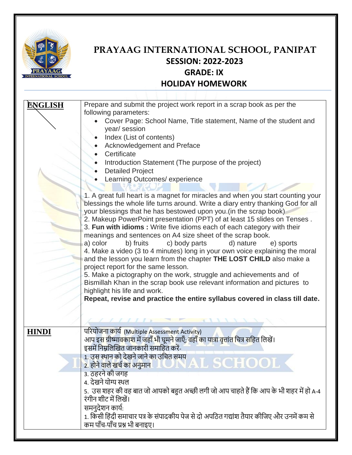

## **PRAYAAG INTERNATIONAL SCHOOL, PANIPAT SESSION: 2022-2023 GRADE: IX HOLIDAY HOMEWORK**

| <b>ENGLISH</b> | Prepare and submit the project work report in a scrap book as per the<br>following parameters:                                                                                                                                                                                                                                                                                                                                                                                                                                                                                                                                                                                                                                                                                                                                                                                                                                                                                                    |  |  |  |  |
|----------------|---------------------------------------------------------------------------------------------------------------------------------------------------------------------------------------------------------------------------------------------------------------------------------------------------------------------------------------------------------------------------------------------------------------------------------------------------------------------------------------------------------------------------------------------------------------------------------------------------------------------------------------------------------------------------------------------------------------------------------------------------------------------------------------------------------------------------------------------------------------------------------------------------------------------------------------------------------------------------------------------------|--|--|--|--|
|                | Cover Page: School Name, Title statement, Name of the student and                                                                                                                                                                                                                                                                                                                                                                                                                                                                                                                                                                                                                                                                                                                                                                                                                                                                                                                                 |  |  |  |  |
|                | year/ session                                                                                                                                                                                                                                                                                                                                                                                                                                                                                                                                                                                                                                                                                                                                                                                                                                                                                                                                                                                     |  |  |  |  |
|                | Index (List of contents)                                                                                                                                                                                                                                                                                                                                                                                                                                                                                                                                                                                                                                                                                                                                                                                                                                                                                                                                                                          |  |  |  |  |
|                | Acknowledgement and Preface                                                                                                                                                                                                                                                                                                                                                                                                                                                                                                                                                                                                                                                                                                                                                                                                                                                                                                                                                                       |  |  |  |  |
|                | Certificate                                                                                                                                                                                                                                                                                                                                                                                                                                                                                                                                                                                                                                                                                                                                                                                                                                                                                                                                                                                       |  |  |  |  |
|                | Introduction Statement (The purpose of the project)                                                                                                                                                                                                                                                                                                                                                                                                                                                                                                                                                                                                                                                                                                                                                                                                                                                                                                                                               |  |  |  |  |
|                | <b>Detailed Project</b>                                                                                                                                                                                                                                                                                                                                                                                                                                                                                                                                                                                                                                                                                                                                                                                                                                                                                                                                                                           |  |  |  |  |
|                | Learning Outcomes/ experience                                                                                                                                                                                                                                                                                                                                                                                                                                                                                                                                                                                                                                                                                                                                                                                                                                                                                                                                                                     |  |  |  |  |
|                |                                                                                                                                                                                                                                                                                                                                                                                                                                                                                                                                                                                                                                                                                                                                                                                                                                                                                                                                                                                                   |  |  |  |  |
|                | 1. A great full heart is a magnet for miracles and when you start counting your<br>blessings the whole life turns around. Write a diary entry thanking God for all<br>your blessings that he has bestowed upon you. (in the scrap book)<br>2. Makeup PowerPoint presentation (PPT) of at least 15 slides on Tenses.<br>3. Fun with idioms: Write five idioms each of each category with their<br>meanings and sentences on A4 size sheet of the scrap book.<br>a) color<br>b) fruits<br>c) body parts<br>d) nature<br>e) sports<br>4. Make a video (3 to 4 minutes) long in your own voice explaining the moral<br>and the lesson you learn from the chapter THE LOST CHILD also make a<br>project report for the same lesson.<br>5. Make a pictography on the work, struggle and achievements and of<br>Bismillah Khan in the scrap book use relevant information and pictures to<br>highlight his life and work.<br>Repeat, revise and practice the entire syllabus covered in class till date. |  |  |  |  |
|                |                                                                                                                                                                                                                                                                                                                                                                                                                                                                                                                                                                                                                                                                                                                                                                                                                                                                                                                                                                                                   |  |  |  |  |
| <b>HINDI</b>   | परियोजना कार्य (Multiple Assessment Activity)                                                                                                                                                                                                                                                                                                                                                                                                                                                                                                                                                                                                                                                                                                                                                                                                                                                                                                                                                     |  |  |  |  |
|                | आप इस ग्रीष्मावकाश में जहाँ भी घूमने जाएँ; वहाँ का यात्रा वृत्तांत चित्र सहित लिखें।                                                                                                                                                                                                                                                                                                                                                                                                                                                                                                                                                                                                                                                                                                                                                                                                                                                                                                              |  |  |  |  |
|                | इसमें निम्नलिखित जानकारी समाहित करें-                                                                                                                                                                                                                                                                                                                                                                                                                                                                                                                                                                                                                                                                                                                                                                                                                                                                                                                                                             |  |  |  |  |
|                | 1. उस स्थान को देखने जाने का उचित समय                                                                                                                                                                                                                                                                                                                                                                                                                                                                                                                                                                                                                                                                                                                                                                                                                                                                                                                                                             |  |  |  |  |
|                | 2. होने वाले खर्च का अनुमान $\,$ IONAL SCHOOL                                                                                                                                                                                                                                                                                                                                                                                                                                                                                                                                                                                                                                                                                                                                                                                                                                                                                                                                                     |  |  |  |  |
|                | 3. ठहरने की जगह                                                                                                                                                                                                                                                                                                                                                                                                                                                                                                                                                                                                                                                                                                                                                                                                                                                                                                                                                                                   |  |  |  |  |
|                | 4. देखने योग्य स्थल                                                                                                                                                                                                                                                                                                                                                                                                                                                                                                                                                                                                                                                                                                                                                                                                                                                                                                                                                                               |  |  |  |  |
|                | 5.  उस शहर की वह बात जो आपको बहुत अच्छी लगी जो आप चाहते हैं कि आप के भी शहर में हो A-4                                                                                                                                                                                                                                                                                                                                                                                                                                                                                                                                                                                                                                                                                                                                                                                                                                                                                                            |  |  |  |  |
|                | रंगीन शीट में लिखें।                                                                                                                                                                                                                                                                                                                                                                                                                                                                                                                                                                                                                                                                                                                                                                                                                                                                                                                                                                              |  |  |  |  |
|                | समनुदेशन कार्य:                                                                                                                                                                                                                                                                                                                                                                                                                                                                                                                                                                                                                                                                                                                                                                                                                                                                                                                                                                                   |  |  |  |  |
|                | 1. किसी हिंदी समाचार पत्र के संपादकीय पेज से दो अपठित गद्यांश तैयार कीजिए और उनमें कम से                                                                                                                                                                                                                                                                                                                                                                                                                                                                                                                                                                                                                                                                                                                                                                                                                                                                                                          |  |  |  |  |
|                | कम पाँच-पाँच प्रश्न भी बनाइए।                                                                                                                                                                                                                                                                                                                                                                                                                                                                                                                                                                                                                                                                                                                                                                                                                                                                                                                                                                     |  |  |  |  |
|                |                                                                                                                                                                                                                                                                                                                                                                                                                                                                                                                                                                                                                                                                                                                                                                                                                                                                                                                                                                                                   |  |  |  |  |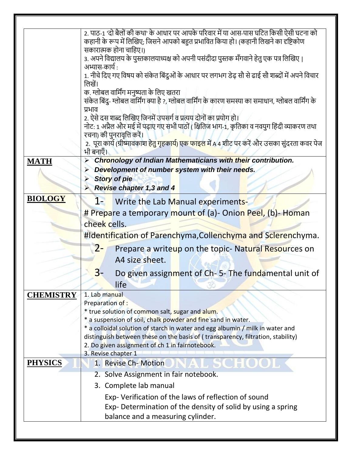|                  | 2. पाठ-1 'दो बैलों की कथा' के आधार पर आपके परिवार में या आस-पास घटित किसी ऐसी घटना को<br>कहानी के रूप में लिखिए; जिसने आपको बहुत प्रभावित किया हो। (कहानी लिखने का दृष्टिकोण<br>सकारात्मक होना चाहिए।)<br>3. अपने विद्यालय के पुस्तकालयाध्यक्ष को अपनी पसंदीदा पुस्तक मँगवाने हेतु एक पत्र लिखिए ।<br>अभ्यास-कार्य :<br>1. नीचे दिए गए विषय को संकेत बिंदुओं के आधार पर लगभग डेढ़ सौ से ढाई सौ शब्दों में अपने विचार<br>लिखें।<br>क. ग्लोबल वार्मिंग मनुष्यता के लिए खतरा<br>संकेत बिंदु- ग्लोबल वार्मिंग क्या है ?, ग्लोबल वार्मिंग के कारण समस्या का समाधान, ग्लोबल वार्मिंग के<br>प्रभाव<br>2. ऐसे दस शब्द लिखिए जिनमें उपसर्ग व प्रत्यय दोनों का प्रयोग हो।<br>नोट: 1 अप्रैल और मई में पढ़ाए गए सभी पाठों ( क्षितिज भाग-1, कृतिका व नवयुग हिंदी व्याकरण तथा<br>रचना) की पुनरावृत्ति करें।<br>2.  पूरा कार्य (ग्रीष्मावकाश हेतु गृहकार्य) एक फाइल में A 4 शीट पर करें और उसका सुंदरता कवर पेज<br>भी बनाएँ। |  |  |  |
|------------------|---------------------------------------------------------------------------------------------------------------------------------------------------------------------------------------------------------------------------------------------------------------------------------------------------------------------------------------------------------------------------------------------------------------------------------------------------------------------------------------------------------------------------------------------------------------------------------------------------------------------------------------------------------------------------------------------------------------------------------------------------------------------------------------------------------------------------------------------------------------------------------------------------------------|--|--|--|
| <b>MATH</b>      | Chronology of Indian Mathematicians with their contribution.<br>$\blacktriangleright$<br>Development of number system with their needs.<br><b>Story of pie</b><br><b>Revise chapter 1,3 and 4</b><br>$\blacktriangleright$                                                                                                                                                                                                                                                                                                                                                                                                                                                                                                                                                                                                                                                                                    |  |  |  |
| <b>BIOLOGY</b>   | $1-$<br>Write the Lab Manual experiments-<br># Prepare a temporary mount of (a)- Onion Peel, (b)- Homan<br>cheek cells.<br>#Identification of Parenchyma, Collenchyma and Sclerenchyma.<br>$2 -$<br>Prepare a writeup on the topic-Natural Resources on<br>A4 size sheet.<br>$3-$<br>Do given assignment of Ch-5-The fundamental unit of<br>life                                                                                                                                                                                                                                                                                                                                                                                                                                                                                                                                                              |  |  |  |
| <b>CHEMISTRY</b> | 1. Lab manual<br>Preparation of:<br>* true solution of common salt, sugar and alum.<br>* a suspension of soil, chalk powder and fine sand in water.<br>* a colloidal solution of starch in water and egg albumin / milk in water and<br>distinguish between these on the basis of (transparency, filtration, stability)<br>2. Do given assignment of ch 1 in fairnotebook.<br>3. Revise chapter 1                                                                                                                                                                                                                                                                                                                                                                                                                                                                                                             |  |  |  |
| <b>PHYSICS</b>   | 1. Revise Ch-Motion<br><b>SCHO(</b><br>2. Solve Assignment in fair notebook.<br>3. Complete lab manual<br>Exp- Verification of the laws of reflection of sound<br>Exp-Determination of the density of solid by using a spring<br>balance and a measuring cylinder.                                                                                                                                                                                                                                                                                                                                                                                                                                                                                                                                                                                                                                            |  |  |  |